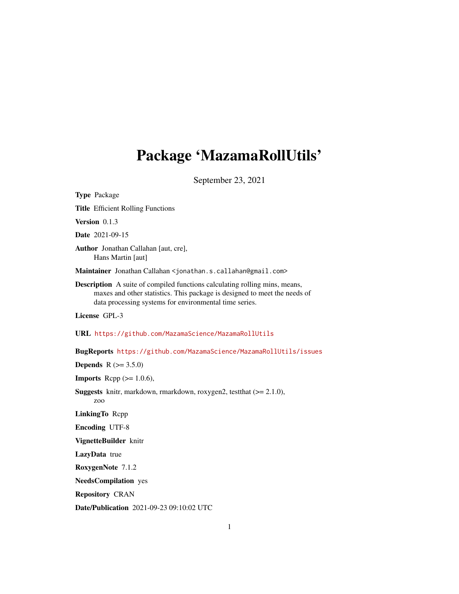## Package 'MazamaRollUtils'

September 23, 2021

Type Package Title Efficient Rolling Functions Version 0.1.3 Date 2021-09-15 Author Jonathan Callahan [aut, cre], Hans Martin [aut] Maintainer Jonathan Callahan <jonathan.s.callahan@gmail.com> Description A suite of compiled functions calculating rolling mins, means, maxes and other statistics. This package is designed to meet the needs of data processing systems for environmental time series. License GPL-3 URL <https://github.com/MazamaScience/MazamaRollUtils> BugReports <https://github.com/MazamaScience/MazamaRollUtils/issues> **Depends** R  $(>= 3.5.0)$ **Imports** Rcpp  $(>= 1.0.6)$ , Suggests knitr, markdown, rmarkdown, roxygen2, testthat (>= 2.1.0), zoo LinkingTo Rcpp Encoding UTF-8 VignetteBuilder knitr LazyData true RoxygenNote 7.1.2 NeedsCompilation yes Repository CRAN Date/Publication 2021-09-23 09:10:02 UTC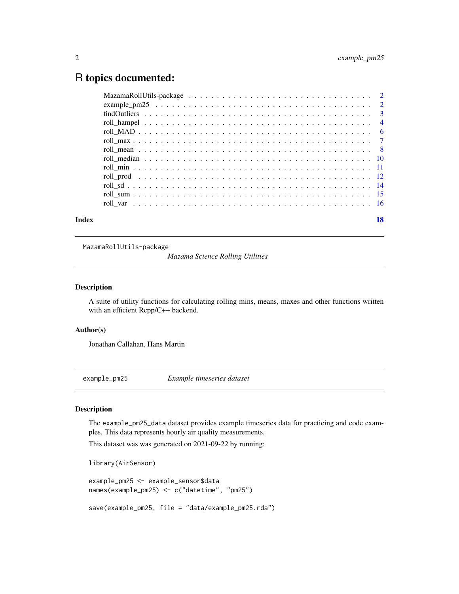## <span id="page-1-0"></span>R topics documented:

| Index | 18 |
|-------|----|

MazamaRollUtils-package

*Mazama Science Rolling Utilities*

#### Description

A suite of utility functions for calculating rolling mins, means, maxes and other functions written with an efficient Rcpp/C++ backend.

#### Author(s)

Jonathan Callahan, Hans Martin

example\_pm25 *Example timeseries dataset*

#### Description

The example\_pm25\_data dataset provides example timeseries data for practicing and code examples. This data represents hourly air quality measurements.

This dataset was was generated on 2021-09-22 by running:

library(AirSensor)

```
example_pm25 <- example_sensor$data
names(example_pm25) <- c("datetime", "pm25")
```
save(example\_pm25, file = "data/example\_pm25.rda")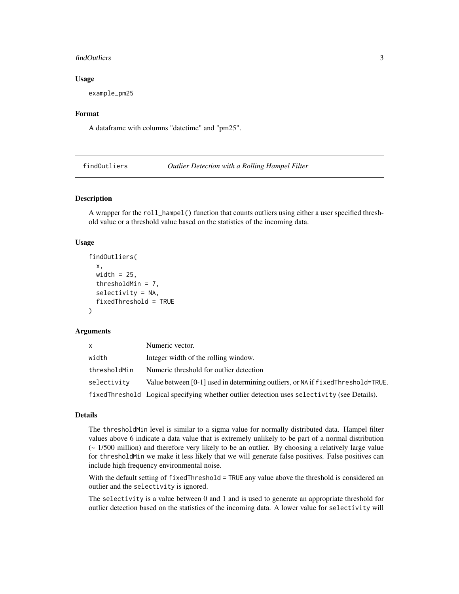#### <span id="page-2-0"></span>findOutliers 3

#### Usage

example\_pm25

#### Format

A dataframe with columns "datetime" and "pm25".

findOutliers *Outlier Detection with a Rolling Hampel Filter*

#### Description

A wrapper for the roll\_hampel() function that counts outliers using either a user specified threshold value or a threshold value based on the statistics of the incoming data.

#### Usage

```
findOutliers(
  x,
  width = 25,
  thresholdMin = 7,
  selectivity = NA,
  fixedThreshold = TRUE
\lambda
```
#### Arguments

| <b>X</b>     | Numeric vector.                                                                             |
|--------------|---------------------------------------------------------------------------------------------|
| width        | Integer width of the rolling window.                                                        |
| thresholdMin | Numeric threshold for outlier detection                                                     |
| selectivity  | Value between [0-1] used in determining outliers, or NA if fixed Threshold=TRUE.            |
|              | fixedThreshold Logical specifying whether outlier detection uses selectivity (see Details). |

#### Details

The thresholdMin level is similar to a sigma value for normally distributed data. Hampel filter values above 6 indicate a data value that is extremely unlikely to be part of a normal distribution (~ 1/500 million) and therefore very likely to be an outlier. By choosing a relatively large value for thresholdMin we make it less likely that we will generate false positives. False positives can include high frequency environmental noise.

With the default setting of fixedThreshold = TRUE any value above the threshold is considered an outlier and the selectivity is ignored.

The selectivity is a value between 0 and 1 and is used to generate an appropriate threshold for outlier detection based on the statistics of the incoming data. A lower value for selectivity will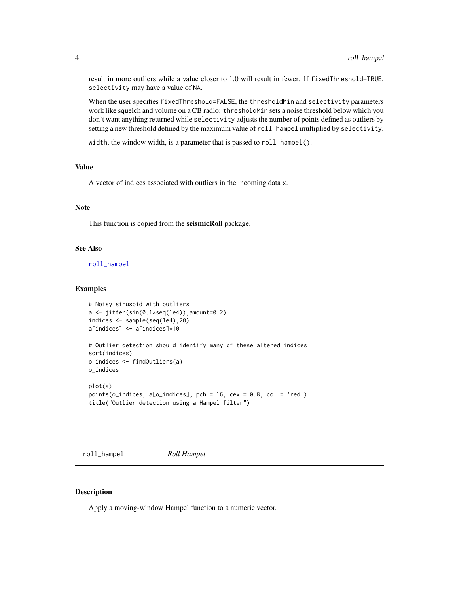<span id="page-3-0"></span>result in more outliers while a value closer to 1.0 will result in fewer. If fixedThreshold=TRUE, selectivity may have a value of NA.

When the user specifies fixedThreshold=FALSE, the thresholdMin and selectivity parameters work like squelch and volume on a CB radio: thresholdMin sets a noise threshold below which you don't want anything returned while selectivity adjusts the number of points defined as outliers by setting a new threshold defined by the maximum value of roll\_hampel multiplied by selectivity.

width, the window width, is a parameter that is passed to roll\_hampel().

#### Value

A vector of indices associated with outliers in the incoming data x.

#### Note

This function is copied from the seismicRoll package.

#### See Also

[roll\\_hampel](#page-3-1)

#### Examples

```
# Noisy sinusoid with outliers
a \leftarrow \text{jitter}(\sin(\theta.1*) \cdot \text{seq}(1e4)), amount=0.2)
indices <- sample(seq(1e4),20)
a[indices] <- a[indices]*10
# Outlier detection should identify many of these altered indices
sort(indices)
o_indices <- findOutliers(a)
o_indices
plot(a)
points(o_indices, a[o_indices], pch = 16, cex = 0.8, col = 'red')
title("Outlier detection using a Hampel filter")
```
<span id="page-3-1"></span>roll\_hampel *Roll Hampel*

#### Description

Apply a moving-window Hampel function to a numeric vector.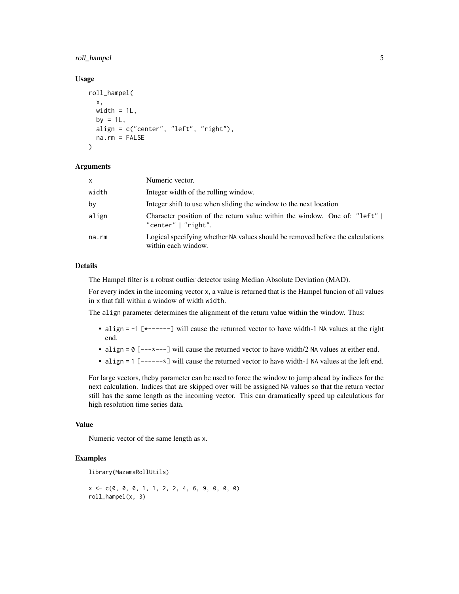#### roll\_hampel 5

#### Usage

```
roll_hampel(
  x,
 width = 1L,
 by = 1L,
  align = c("center", "left", "right"),
 na.rm = FALSE
)
```
#### Arguments

| $\mathsf{x}$ | Numeric vector.                                                                                        |
|--------------|--------------------------------------------------------------------------------------------------------|
| width        | Integer width of the rolling window.                                                                   |
| by           | Integer shift to use when sliding the window to the next location                                      |
| align        | Character position of the return value within the window. One of: "left"  <br>"center" $\mid$ "right". |
| na.rm        | Logical specifying whether NA values should be removed before the calculations<br>within each window.  |

#### Details

The Hampel filter is a robust outlier detector using Median Absolute Deviation (MAD).

For every index in the incoming vector x, a value is returned that is the Hampel funcion of all values in x that fall within a window of width width.

The align parameter determines the alignment of the return value within the window. Thus:

- align = -1 [\*------] will cause the returned vector to have width-1 NA values at the right end.
- align = 0 [---\*---] will cause the returned vector to have width/2 NA values at either end.
- align = 1 [------\*] will cause the returned vector to have width-1 NA values at the left end.

For large vectors, theby parameter can be used to force the window to jump ahead by indices for the next calculation. Indices that are skipped over will be assigned NA values so that the return vector still has the same length as the incoming vector. This can dramatically speed up calculations for high resolution time series data.

#### Value

Numeric vector of the same length as x.

#### Examples

```
library(MazamaRollUtils)
```
 $x \leq -c(0, 0, 0, 1, 1, 2, 2, 4, 6, 9, 0, 0, 0)$ roll\_hampel(x, 3)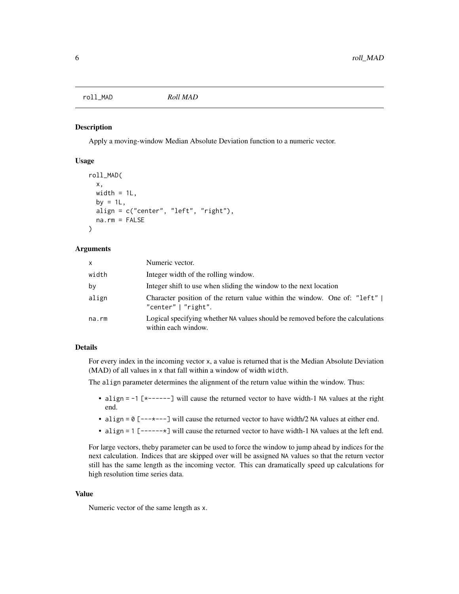<span id="page-5-0"></span>roll\_MAD *Roll MAD*

#### Description

Apply a moving-window Median Absolute Deviation function to a numeric vector.

#### Usage

```
roll_MAD(
  x,
 width = 1L,
 by = 1L.
  align = c("center", "left", "right"),
 na.rm = FALSE
)
```
#### Arguments

| x     | Numeric vector.                                                                                       |
|-------|-------------------------------------------------------------------------------------------------------|
| width | Integer width of the rolling window.                                                                  |
| by    | Integer shift to use when sliding the window to the next location                                     |
| align | Character position of the return value within the window. One of: "left"  <br>"center"   "right".     |
| na.rm | Logical specifying whether NA values should be removed before the calculations<br>within each window. |

#### Details

For every index in the incoming vector x, a value is returned that is the Median Absolute Deviation (MAD) of all values in x that fall within a window of width width.

The align parameter determines the alignment of the return value within the window. Thus:

- align = -1 [\*------] will cause the returned vector to have width-1 NA values at the right end.
- align =  $0$  [--- $\star$ ---] will cause the returned vector to have width/2 NA values at either end.
- align = 1 [------\*] will cause the returned vector to have width-1 NA values at the left end.

For large vectors, theby parameter can be used to force the window to jump ahead by indices for the next calculation. Indices that are skipped over will be assigned NA values so that the return vector still has the same length as the incoming vector. This can dramatically speed up calculations for high resolution time series data.

#### Value

Numeric vector of the same length as x.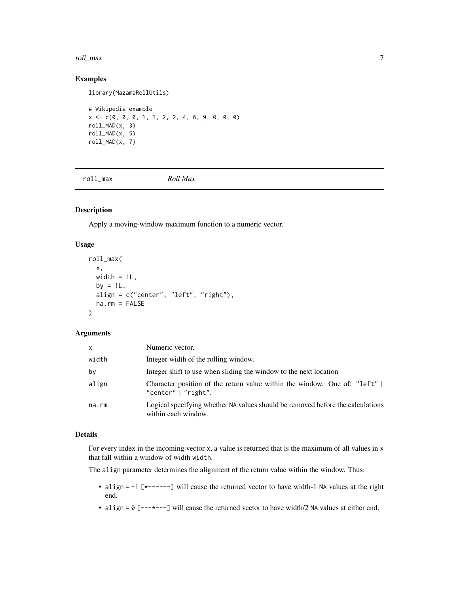#### <span id="page-6-0"></span>roll\_max 7

#### Examples

library(MazamaRollUtils)

```
# Wikipedia example
x <- c(0, 0, 0, 1, 1, 2, 2, 4, 6, 9, 0, 0, 0)
roll_MAD(x, 3)
roll_MAD(x, 5)
roll_MAD(x, 7)
```
roll\_max *Roll Max*

#### Description

Apply a moving-window maximum function to a numeric vector.

#### Usage

```
roll_max(
 x,
 width = 1L,
 by = 1L,
 align = c("center", "left", "right"),
 na.rm = FALSE
)
```
#### Arguments

| X     | Numeric vector.                                                                                        |
|-------|--------------------------------------------------------------------------------------------------------|
| width | Integer width of the rolling window.                                                                   |
| by    | Integer shift to use when sliding the window to the next location                                      |
| align | Character position of the return value within the window. One of: "left"  <br>"center" $\mid$ "right". |
| na.rm | Logical specifying whether NA values should be removed before the calculations<br>within each window.  |

#### Details

For every index in the incoming vector x, a value is returned that is the maximum of all values in x that fall within a window of width width.

The align parameter determines the alignment of the return value within the window. Thus:

- align = -1 [\*------] will cause the returned vector to have width-1 NA values at the right end.
- align =  $0$  [--- $\star$ ---] will cause the returned vector to have width/2 NA values at either end.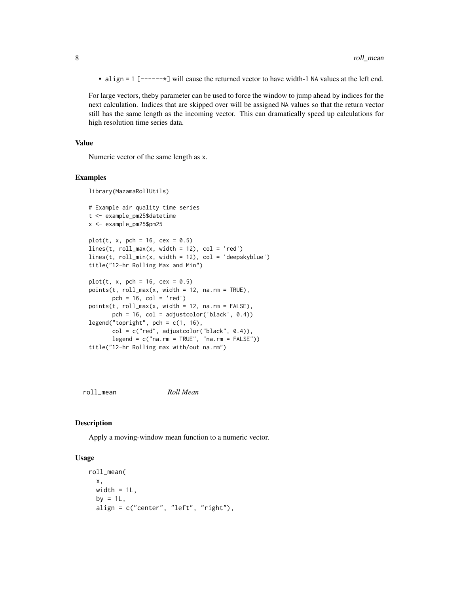<span id="page-7-0"></span>• align = 1 [------\*] will cause the returned vector to have width-1 NA values at the left end.

For large vectors, theby parameter can be used to force the window to jump ahead by indices for the next calculation. Indices that are skipped over will be assigned NA values so that the return vector still has the same length as the incoming vector. This can dramatically speed up calculations for high resolution time series data.

#### Value

Numeric vector of the same length as x.

#### Examples

```
library(MazamaRollUtils)
```

```
# Example air quality time series
t <- example_pm25$datetime
x <- example_pm25$pm25
plot(t, x, pch = 16, cex = 0.5)lines(t, roll_max(x, width = 12), col = 'red')lines(t, roll\_min(x, width = 12), col = 'deepskyblue')title("12-hr Rolling Max and Min")
plot(t, x, pch = 16, cex = 0.5)points(t, roll_max(x, width = 12, na.rm = TRUE),pch = 16, col = 'red')
points(t, roll_max(x, width = 12, na.rm = FALSE),pch = 16, col = adjustcolor('black', 0.4))
legend("topright", pch = c(1, 16),
      col = c("red", adjustcolor("black", 0.4)),legend = c("na.rm = TRUE", "na.rm = FALSE"))title("12-hr Rolling max with/out na.rm")
```
roll\_mean *Roll Mean*

#### Description

Apply a moving-window mean function to a numeric vector.

#### Usage

```
roll_mean(
  x,
 width = 1L,
 by = 1L,
  align = c("center", "left", "right"),
```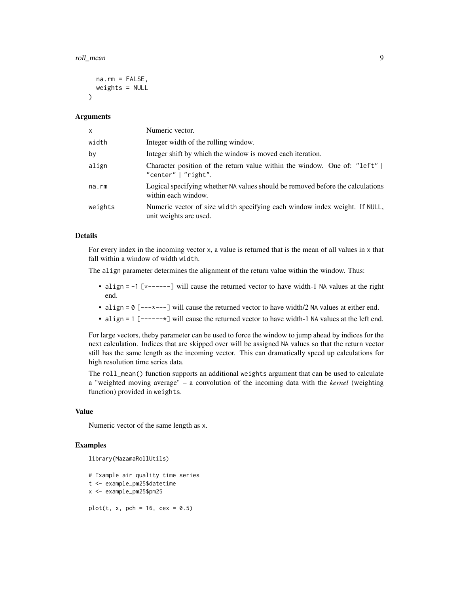#### roll\_mean 9

```
na.rm = FALSE,
 weights = NULL
)
```
#### Arguments

| $\mathsf{x}$ | Numeric vector.                                                                                       |
|--------------|-------------------------------------------------------------------------------------------------------|
| width        | Integer width of the rolling window.                                                                  |
| by           | Integer shift by which the window is moved each iteration.                                            |
| align        | Character position of the return value within the window. One of: "left"  <br>"center"   "right".     |
| $na$ . $rm$  | Logical specifying whether NA values should be removed before the calculations<br>within each window. |
| weights      | Numeric vector of size width specifying each window index weight. If NULL,<br>unit weights are used.  |

#### Details

For every index in the incoming vector x, a value is returned that is the mean of all values in x that fall within a window of width width.

The align parameter determines the alignment of the return value within the window. Thus:

- align = -1 [\*------] will cause the returned vector to have width-1 NA values at the right end.
- align = 0 [---\*---] will cause the returned vector to have width/2 NA values at either end.
- align = 1 [------\*] will cause the returned vector to have width-1 NA values at the left end.

For large vectors, theby parameter can be used to force the window to jump ahead by indices for the next calculation. Indices that are skipped over will be assigned NA values so that the return vector still has the same length as the incoming vector. This can dramatically speed up calculations for high resolution time series data.

The roll\_mean() function supports an additional weights argument that can be used to calculate a "weighted moving average" – a convolution of the incoming data with the *kernel* (weighting function) provided in weights.

#### Value

Numeric vector of the same length as x.

#### Examples

```
library(MazamaRollUtils)
```
# Example air quality time series t <- example\_pm25\$datetime x <- example\_pm25\$pm25  $plot(t, x, pch = 16, cex = 0.5)$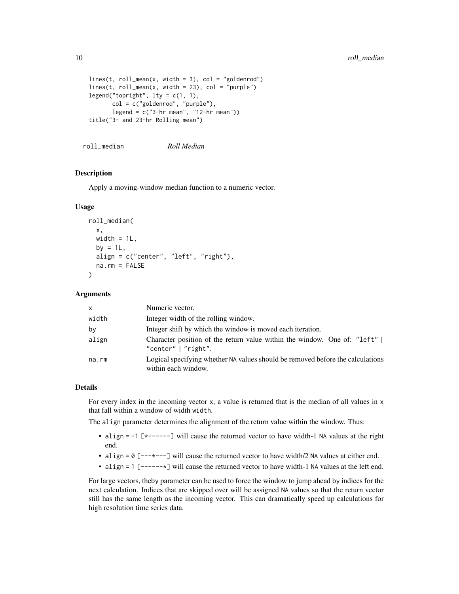```
lines(t, roll_mean(x, width = 3), col = "goldenrod")lines(t, roll_mean(x, width = 23), col = "purple")legend("topright", lty = c(1, 1),
      col = c("goldenrod", "purple"),
      legend = c("3-hr mean", "12-hr mean"))
title("3- and 23-hr Rolling mean")
```
roll\_median *Roll Median*

#### Description

Apply a moving-window median function to a numeric vector.

#### Usage

```
roll_median(
  x,
 width = 1L,
 by = 1L.
 align = c("center", "left", "right"),
 na.rm = FALSE
)
```
#### Arguments

| $\mathsf{x}$ | Numeric vector.                                                                                        |
|--------------|--------------------------------------------------------------------------------------------------------|
| width        | Integer width of the rolling window.                                                                   |
| by           | Integer shift by which the window is moved each iteration.                                             |
| align        | Character position of the return value within the window. One of: "left"  <br>"center" $\mid$ "right". |
| na.rm        | Logical specifying whether NA values should be removed before the calculations<br>within each window.  |

#### Details

For every index in the incoming vector x, a value is returned that is the median of all values in x that fall within a window of width width.

The align parameter determines the alignment of the return value within the window. Thus:

- align = -1 [\*------] will cause the returned vector to have width-1 NA values at the right end.
- align = 0 [---\*---] will cause the returned vector to have width/2 NA values at either end.
- align = 1 [------ $\star$ ] will cause the returned vector to have width-1 NA values at the left end.

For large vectors, theby parameter can be used to force the window to jump ahead by indices for the next calculation. Indices that are skipped over will be assigned NA values so that the return vector still has the same length as the incoming vector. This can dramatically speed up calculations for high resolution time series data.

<span id="page-9-0"></span>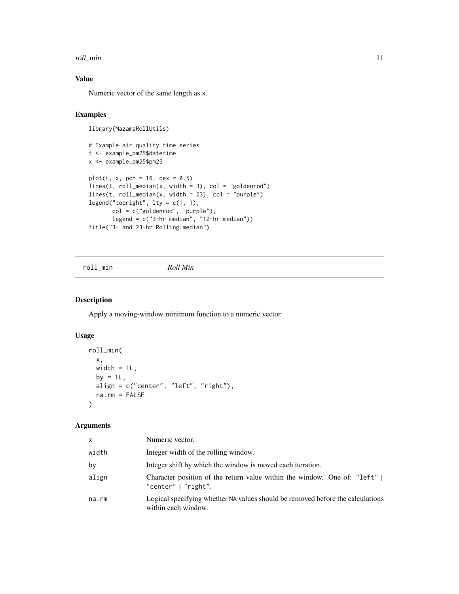#### <span id="page-10-0"></span>roll\_min and 11 and 11 and 12 and 12 and 12 and 12 and 12 and 12 and 12 and 12 and 12 and 12 and 12 and 12 and 12 and 12 and 12 and 12 and 12 and 12 and 12 and 12 and 12 and 12 and 12 and 12 and 12 and 12 and 12 and 12 and

### Value

Numeric vector of the same length as x.

#### Examples

```
library(MazamaRollUtils)
# Example air quality time series
t <- example_pm25$datetime
x <- example_pm25$pm25
plot(t, x, pch = 16, cex = 0.5)lines(t, roll_median(x, width = 3), col = "goldenrod")
lines(t, roll_median(x, width = 23), col = "purple")
legend("topright", lty = c(1, 1),
      col = c("goldenrod", "purple"),
       legend = c("3-hr median", "12-hr median"))title("3- and 23-hr Rolling median")
```

```
roll_min Roll Min
```
#### Description

Apply a moving-window minimum function to a numeric vector.

#### Usage

```
roll_min(
  x,
 width = 1L,
 by = 1L,
 align = c("center", "left", "right"),
 na.rm = FALSE
)
```
#### Arguments

| X.    | Numeric vector.                                                                                       |
|-------|-------------------------------------------------------------------------------------------------------|
| width | Integer width of the rolling window.                                                                  |
| by    | Integer shift by which the window is moved each iteration.                                            |
| align | Character position of the return value within the window. One of: "left"  <br>"center"   "right".     |
| na.rm | Logical specifying whether NA values should be removed before the calculations<br>within each window. |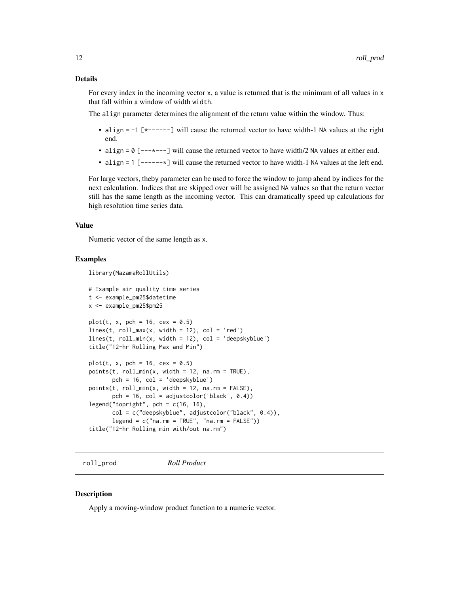#### <span id="page-11-0"></span>Details

For every index in the incoming vector x, a value is returned that is the minimum of all values in x that fall within a window of width width.

The align parameter determines the alignment of the return value within the window. Thus:

- align  $= -1$  [ $*$ ------] will cause the returned vector to have width-1 NA values at the right end.
- align =  $0$  [--- $\ast$ ---] will cause the returned vector to have width/2 NA values at either end.
- align = 1 [------\*] will cause the returned vector to have width-1 NA values at the left end.

For large vectors, theby parameter can be used to force the window to jump ahead by indices for the next calculation. Indices that are skipped over will be assigned NA values so that the return vector still has the same length as the incoming vector. This can dramatically speed up calculations for high resolution time series data.

#### Value

Numeric vector of the same length as x.

#### Examples

```
library(MazamaRollUtils)
```

```
# Example air quality time series
t <- example_pm25$datetime
x <- example_pm25$pm25
plot(t, x, pch = 16, cex = 0.5)lines(t, roll_max(x, width = 12), col = 'red')lines(t, roll\_min(x, width = 12), col = 'deepskyblue')title("12-hr Rolling Max and Min")
plot(t, x, pch = 16, cex = 0.5)points(t, roll\_min(x, width = 12, na.rm = TRUE),pch = 16, col = 'deepskyblue')
points(t, roll\_min(x, width = 12, na.rm = FALSE),pch = 16, col = adjustcolor('black', 0.4))
legend("topright", pch = c(16, 16),
      col = c("deepskyblue", adjustcolor("black", 0.4)),
      legend = c("na.rm = TRUE", "na.rm = FALSE"))title("12-hr Rolling min with/out na.rm")
```
roll\_prod *Roll Product*

#### **Description**

Apply a moving-window product function to a numeric vector.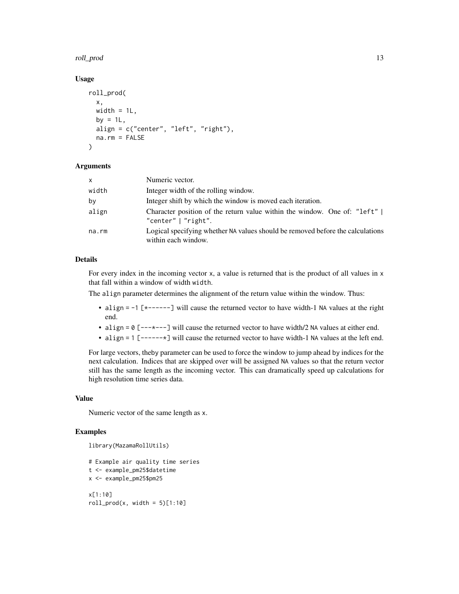#### roll\_prod the control of the control of the control of the control of the control of the control of the control of the control of the control of the control of the control of the control of the control of the control of th

#### Usage

```
roll_prod(
  x,
 width = 1L,
 by = 1L,
  align = c("center", "left", "right"),
 na.rm = FALSE
)
```
#### Arguments

| $\times$ | Numeric vector.                                                                                       |
|----------|-------------------------------------------------------------------------------------------------------|
| width    | Integer width of the rolling window.                                                                  |
| by       | Integer shift by which the window is moved each iteration.                                            |
| align    | Character position of the return value within the window. One of: "left"  <br>"center"   "right".     |
| na.rm    | Logical specifying whether NA values should be removed before the calculations<br>within each window. |

#### Details

For every index in the incoming vector x, a value is returned that is the product of all values in x that fall within a window of width width.

The align parameter determines the alignment of the return value within the window. Thus:

- align = -1 [\*------] will cause the returned vector to have width-1 NA values at the right end.
- align =  $0$  [--- $\star$ ---] will cause the returned vector to have width/2 NA values at either end.
- align = 1 [------\*] will cause the returned vector to have width-1 NA values at the left end.

For large vectors, theby parameter can be used to force the window to jump ahead by indices for the next calculation. Indices that are skipped over will be assigned NA values so that the return vector still has the same length as the incoming vector. This can dramatically speed up calculations for high resolution time series data.

#### Value

Numeric vector of the same length as x.

#### Examples

```
library(MazamaRollUtils)
```

```
# Example air quality time series
t <- example_pm25$datetime
x <- example_pm25$pm25
x[1:10]
roll\_prod(x, width = 5)[1:10]
```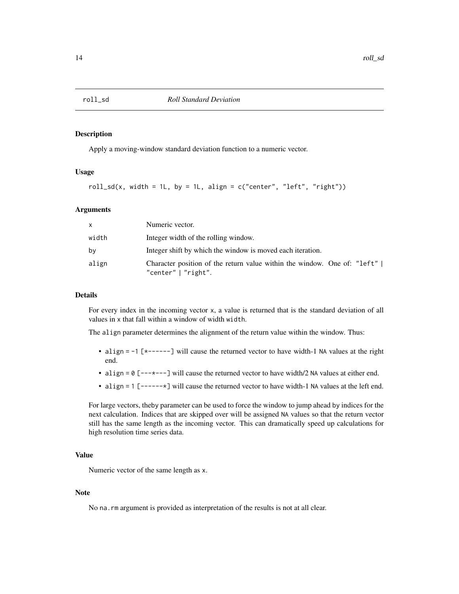<span id="page-13-0"></span>

#### Description

Apply a moving-window standard deviation function to a numeric vector.

#### Usage

roll\_sd(x, width = 1L, by = 1L, align =  $c("center", "left", "right")$ 

#### Arguments

| <b>X</b> | Numeric vector.                                                                                 |
|----------|-------------------------------------------------------------------------------------------------|
| width    | Integer width of the rolling window.                                                            |
| bv       | Integer shift by which the window is moved each iteration.                                      |
| align    | Character position of the return value within the window. One of: "left"<br>"center"   "right". |

#### Details

For every index in the incoming vector x, a value is returned that is the standard deviation of all values in x that fall within a window of width width.

The align parameter determines the alignment of the return value within the window. Thus:

- align = -1 [\*------] will cause the returned vector to have width-1 NA values at the right end.
- align = 0 [---\*---] will cause the returned vector to have width/2 NA values at either end.
- align = 1 [------\*] will cause the returned vector to have width-1 NA values at the left end.

For large vectors, theby parameter can be used to force the window to jump ahead by indices for the next calculation. Indices that are skipped over will be assigned NA values so that the return vector still has the same length as the incoming vector. This can dramatically speed up calculations for high resolution time series data.

#### Value

Numeric vector of the same length as x.

#### **Note**

No na.rm argument is provided as interpretation of the results is not at all clear.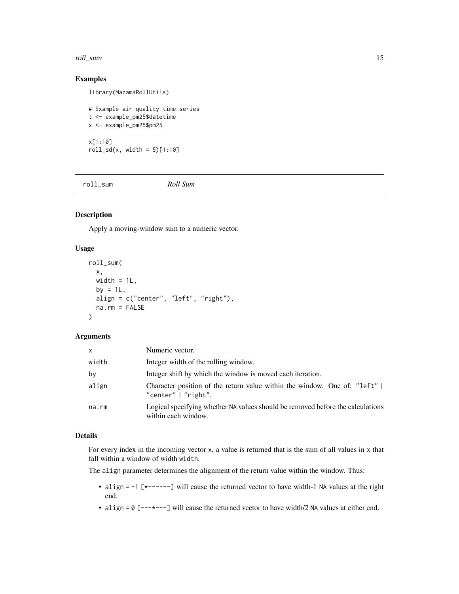#### <span id="page-14-0"></span>roll\_sum and 15

#### Examples

library(MazamaRollUtils)

```
# Example air quality time series
t <- example_pm25$datetime
x <- example_pm25$pm25
x[1:10]
roll_s d(x, width = 5)[1:10]
```
roll\_sum *Roll Sum*

#### Description

Apply a moving-window sum to a numeric vector.

#### Usage

```
roll_sum(
  x,
 width = 1L,
 by = 1L,
 align = c("center", "left", "right"),
 na.rm = FALSE
\lambda
```
#### Arguments

| $\mathsf{x}$ | Numeric vector.                                                                                        |
|--------------|--------------------------------------------------------------------------------------------------------|
| width        | Integer width of the rolling window.                                                                   |
| by           | Integer shift by which the window is moved each iteration.                                             |
| align        | Character position of the return value within the window. One of: "left"  <br>"center" $\mid$ "right". |
| na.rm        | Logical specifying whether NA values should be removed before the calculations<br>within each window.  |

#### Details

For every index in the incoming vector x, a value is returned that is the sum of all values in x that fall within a window of width width.

The align parameter determines the alignment of the return value within the window. Thus:

- align = -1 [\*------] will cause the returned vector to have width-1 NA values at the right end.
- align =  $0$  [--- $\star$ ---] will cause the returned vector to have width/2 NA values at either end.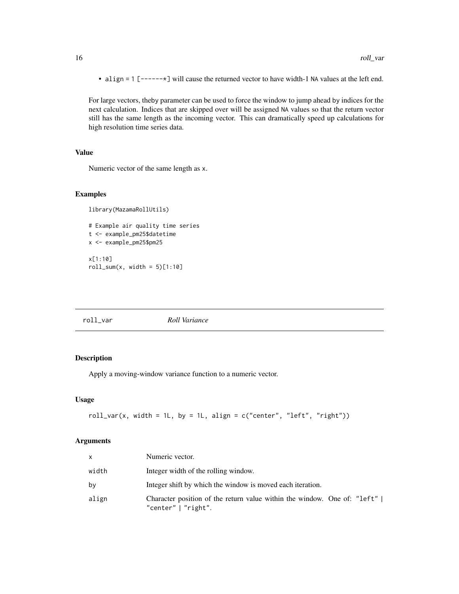• align = 1 [------\*] will cause the returned vector to have width-1 NA values at the left end.

For large vectors, theby parameter can be used to force the window to jump ahead by indices for the next calculation. Indices that are skipped over will be assigned NA values so that the return vector still has the same length as the incoming vector. This can dramatically speed up calculations for high resolution time series data.

#### Value

Numeric vector of the same length as x.

#### Examples

```
library(MazamaRollUtils)
```

```
# Example air quality time series
t <- example_pm25$datetime
x <- example_pm25$pm25
x[1:10]
roll\_sum(x, width = 5)[1:10]
```
#### roll\_var *Roll Variance*

#### Description

Apply a moving-window variance function to a numeric vector.

#### Usage

 $roll\_var(x, width = 1L, by = 1L, align = c("center", "left", "right"))$ 

#### Arguments

| <b>X</b> | Numeric vector.                                                                                 |
|----------|-------------------------------------------------------------------------------------------------|
| width    | Integer width of the rolling window.                                                            |
| bv       | Integer shift by which the window is moved each iteration.                                      |
| align    | Character position of the return value within the window. One of: "left"<br>"center"   "right". |

<span id="page-15-0"></span>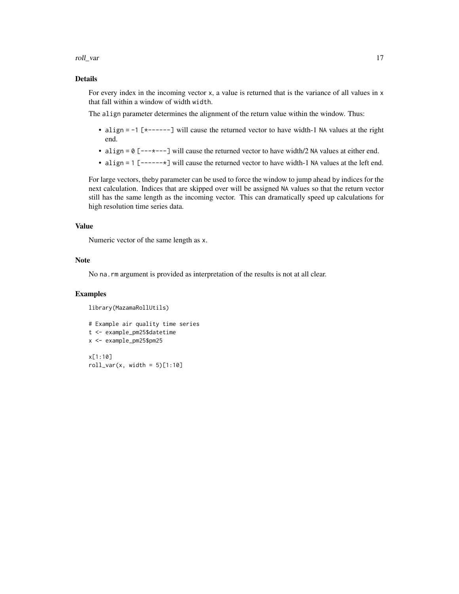roll\_var and 17

#### Details

For every index in the incoming vector x, a value is returned that is the variance of all values in x that fall within a window of width width.

The align parameter determines the alignment of the return value within the window. Thus:

- align = -1 [\*------] will cause the returned vector to have width-1 NA values at the right end.
- align = 0 [---\*---] will cause the returned vector to have width/2 NA values at either end.
- align = 1 [------\*] will cause the returned vector to have width-1 NA values at the left end.

For large vectors, theby parameter can be used to force the window to jump ahead by indices for the next calculation. Indices that are skipped over will be assigned NA values so that the return vector still has the same length as the incoming vector. This can dramatically speed up calculations for high resolution time series data.

#### Value

Numeric vector of the same length as x.

#### Note

No na.rm argument is provided as interpretation of the results is not at all clear.

#### Examples

```
library(MazamaRollUtils)
```

```
# Example air quality time series
t <- example_pm25$datetime
x <- example_pm25$pm25
x[1:10]
roll\_var(x, width = 5)[1:10]
```